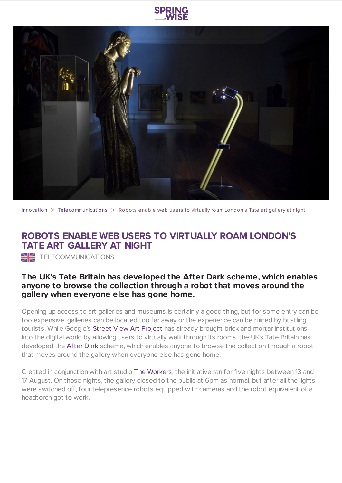



[Innovation](https://www.springwise.com/search?type=innovation) > [Telecommunications](https://www.springwise.com/search?type=innovation§or=telecoms-tech) > Robots enable web users to virtually roam London's Tate art gallery at night

## **ROBOTS ENABLE WEB USERS TO VIRTUALLY ROAM LONDON'S TATE ART GALLERY AT NIGHT**

TELECOMMUNICATIONS

## **The UK's Tate Britain has developed the After Dark scheme, which enables anyone to browse the collection through a robot that moves around the gallery when everyone else has gone home.**

Opening up access to art galleries and museums is certainly a good thing, but for some entry can be too expensive, galleries can be located too far away or the experience can be ruined by bustling tourists. While Google's Street View Art [Project](https://www.google.com/maps/views/streetview/art-project?gl=us) has already brought brick and mortar institutions into the digital world by allowing users to virtually walk through its rooms, the UK's Tate Britain has developed the [After](http://afterdark.tate.org.uk/) Dark scheme, which enables anyone to browse the collection through a robot that moves around the gallery when everyone else has gone home.

Created in conjunction with art studio The [Workers](http://theworkers.net/), the initiative ran for five nights between 13 and 17 August. On those nights, the gallery closed to the public at 6pm as normal, but after all the lights were switched off, four telepresence robots equipped with cameras and the robot equivalent of a headtorch got to work.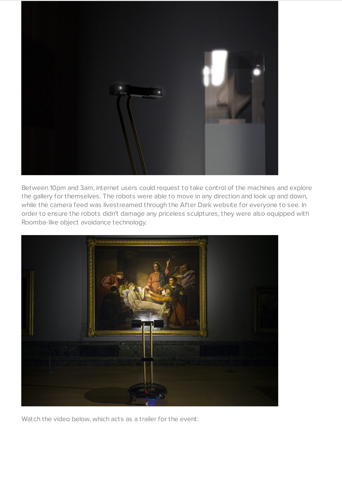

Between 10pm and 3am, internet users could request to take control of the machines and explore the gallery for themselves. The robots were able to move in any direction and look up and down, while the camera feed was livestreamed through the After Dark website for everyone to see. In order to ensure the robots didn't damage any priceless sculptures, they were also equipped with Roomba-like object avoidance technology.



Watch the video below, which acts as a trailer for the event: